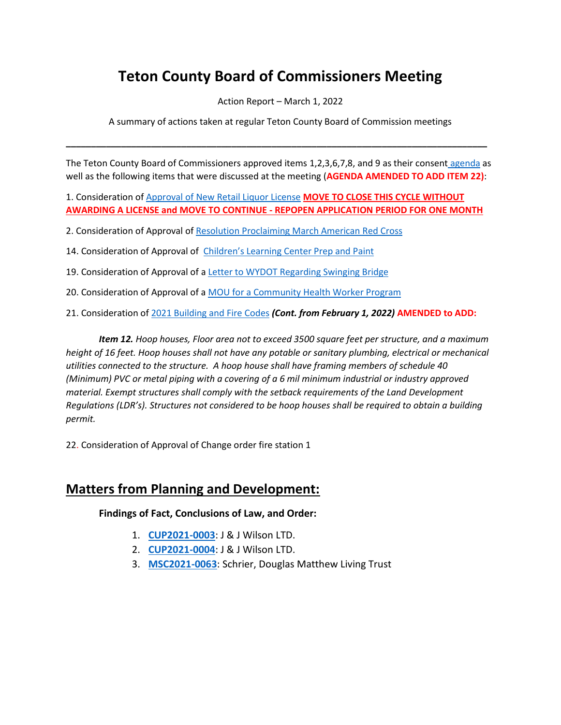# **Teton County Board of Commissioners Meeting**

Action Report – March 1, 2022

A summary of actions taken at regular Teton County Board of Commission meetings

**\_\_\_\_\_\_\_\_\_\_\_\_\_\_\_\_\_\_\_\_\_\_\_\_\_\_\_\_\_\_\_\_\_\_\_\_\_\_\_\_\_\_\_\_\_\_\_\_\_\_\_\_\_\_\_\_\_\_\_\_\_\_\_\_\_\_\_\_\_\_\_\_\_\_\_\_\_\_\_\_\_\_\_\_**

The Teton County Board of Commissioners approved items 1,2,3,6,7,8, and 9 as their consent [agenda](https://www.tetoncountywy.gov/AgendaCenter/ViewFile/Agenda/_03012022-1844) as well as the following items that were discussed at the meeting (**AGENDA AMENDED TO ADD ITEM 22)**:

1. Consideration of [Approval of New Retail Liquor License](https://tetoncountywy.gov/DocumentCenter/View/21363/03011-Retail-Liquor-License) **MOVE TO CLOSE THIS CYCLE WITHOUT AWARDING A LICENSE and MOVE TO CONTINUE - REPOPEN APPLICATION PERIOD FOR ONE MONTH**

2. Consideration of Approval of [Resolution Proclaiming March American](https://tetoncountywy.gov/DocumentCenter/View/21364/03012-Red-Cross-Month-Resolution) Red Cross

14. Consideration of Approval of [Children](https://tetoncountywy.gov/DocumentCenter/View/21244/021510-Wilson-Multi-Modal-Transportation-Plan)'s Learning Center Prep and Paint

19. Consideration of Approval of a Letter to WYDOT Regarding Swinging Bridge

20. Consideration of Approval of a [MOU for a Community Health Worker Program](https://tetoncountywy.gov/DocumentCenter/View/21382/030120-MOU-for-Community-Health-Worker-Program)

21. Consideration of [2021 Building and Fire Codes](https://www.tetoncountywy.gov/DocumentCenter/View/21407/030121-2021-Building-Code-Adoption) *(Cont. from February 1, 2022)* **AMENDED to ADD:**

*Item 12. Hoop houses, Floor area not to exceed 3500 square feet per structure, and a maximum height of 16 feet. Hoop houses shall not have any potable or sanitary plumbing, electrical or mechanical utilities connected to the structure. A hoop house shall have framing members of schedule 40 (Minimum) PVC or metal piping with a covering of a 6 mil minimum industrial or industry approved material. Exempt structures shall comply with the setback requirements of the Land Development Regulations (LDR's). Structures not considered to be hoop houses shall be required to obtain a building permit.*

22. Consideration of Approval of Change order fire station 1

## **Matters from Planning and Development:**

**Findings of Fact, Conclusions of Law, and Order:**

- 1. **[CUP2021-0003](https://tetoncountywy.gov/DocumentCenter/View/21383/CUP2021-0003-FOFCOL)**: J & J Wilson LTD.
- 2. **[CUP2021-0004](https://tetoncountywy.gov/DocumentCenter/View/21384/CUP2021-0004-FOFCOL)**: J & J Wilson LTD.
- 3. **[MSC2021-0063](https://tetoncountywy.gov/DocumentCenter/View/21385/MSC2021-0063-FOF-COL)**: Schrier, Douglas Matthew Living Trust